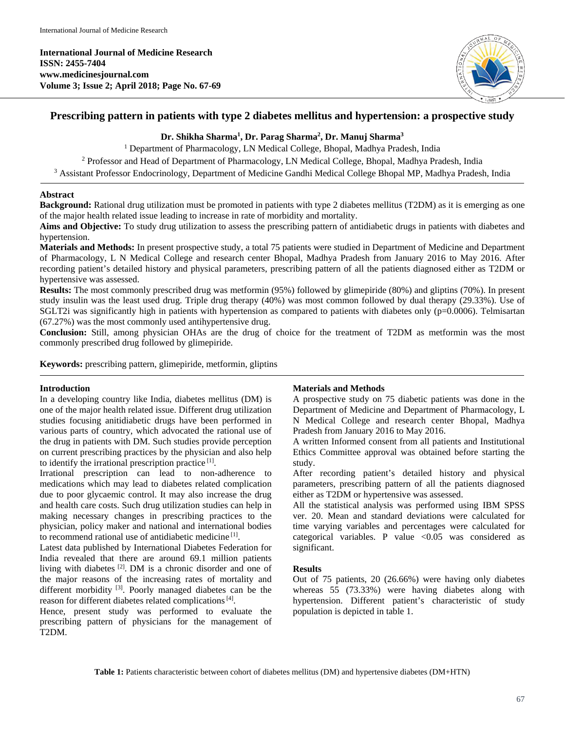**International Journal of Medicine Research ISSN: 2455-7404 www.medicinesjournal.com Volume 3; Issue 2; April 2018; Page No. 67-69**



# **Prescribing pattern in patients with type 2 diabetes mellitus and hypertension: a prospective study**

### **Dr. Shikha Sharma1 , Dr. Parag Sharma2 , Dr. Manuj Sharma3**

<sup>1</sup> Department of Pharmacology, LN Medical College, Bhopal, Madhya Pradesh, India

<sup>2</sup> Professor and Head of Department of Pharmacology, LN Medical College, Bhopal, Madhya Pradesh, India

<sup>3</sup> Assistant Professor Endocrinology, Department of Medicine Gandhi Medical College Bhopal MP, Madhya Pradesh, India

### **Abstract**

**Background:** Rational drug utilization must be promoted in patients with type 2 diabetes mellitus (T2DM) as it is emerging as one of the major health related issue leading to increase in rate of morbidity and mortality.

Aims and Objective: To study drug utilization to assess the prescribing pattern of antidiabetic drugs in patients with diabetes and hypertension.

**Materials and Methods:** In present prospective study, a total 75 patients were studied in Department of Medicine and Department of Pharmacology, L N Medical College and research center Bhopal, Madhya Pradesh from January 2016 to May 2016. After recording patient's detailed history and physical parameters, prescribing pattern of all the patients diagnosed either as T2DM or hypertensive was assessed.

**Results:** The most commonly prescribed drug was metformin (95%) followed by glimepiride (80%) and gliptins (70%). In present study insulin was the least used drug. Triple drug therapy (40%) was most common followed by dual therapy (29.33%). Use of SGLT2i was significantly high in patients with hypertension as compared to patients with diabetes only ( $p=0.0006$ ). Telmisartan (67.27%) was the most commonly used antihypertensive drug.

**Conclusion:** Still, among physician OHAs are the drug of choice for the treatment of T2DM as metformin was the most commonly prescribed drug followed by glimepiride.

**Keywords:** prescribing pattern, glimepiride, metformin, gliptins

### **Introduction**

In a developing country like India, diabetes mellitus (DM) is one of the major health related issue. Different drug utilization studies focusing anitidiabetic drugs have been performed in various parts of country, which advocated the rational use of the drug in patients with DM. Such studies provide perception on current prescribing practices by the physician and also help to identify the irrational prescription practice  $[1]$ .

Irrational prescription can lead to non-adherence to medications which may lead to diabetes related complication due to poor glycaemic control. It may also increase the drug and health care costs. Such drug utilization studies can help in making necessary changes in prescribing practices to the physician, policy maker and national and international bodies to recommend rational use of antidiabetic medicine [1] .

Latest data published by International Diabetes Federation for India revealed that there are around 69.1 million patients living with diabetes [2]. DM is a chronic disorder and one of the major reasons of the increasing rates of mortality and different morbidity<sup>[3]</sup>. Poorly managed diabetes can be the reason for different diabetes related complications<sup>[4]</sup>.

Hence, present study was performed to evaluate the prescribing pattern of physicians for the management of T2DM.

### **Materials and Methods**

A prospective study on 75 diabetic patients was done in the Department of Medicine and Department of Pharmacology, L N Medical College and research center Bhopal, Madhya Pradesh from January 2016 to May 2016.

A written Informed consent from all patients and Institutional Ethics Committee approval was obtained before starting the study.

After recording patient's detailed history and physical parameters, prescribing pattern of all the patients diagnosed either as T2DM or hypertensive was assessed.

All the statistical analysis was performed using IBM SPSS ver. 20. Mean and standard deviations were calculated for time varying variables and percentages were calculated for categorical variables. P value <0.05 was considered as significant.

### **Results**

Out of 75 patients, 20 (26.66%) were having only diabetes whereas 55 (73.33%) were having diabetes along with hypertension. Different patient's characteristic of study population is depicted in table 1.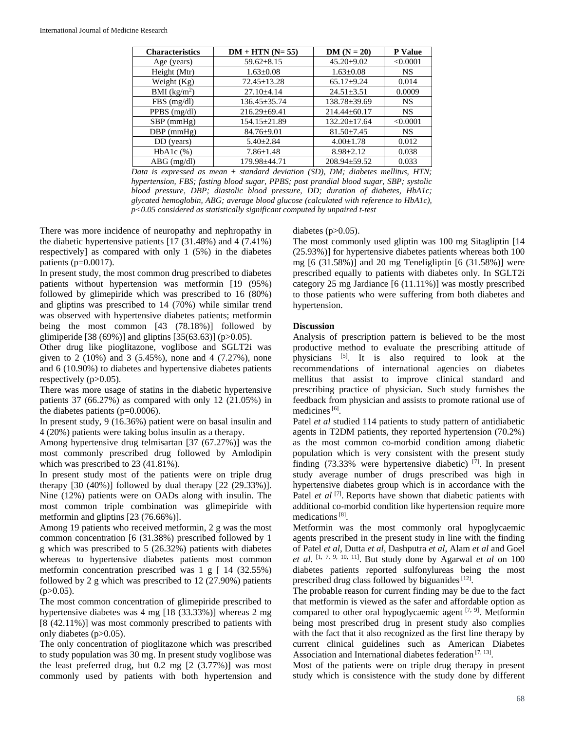| <b>Characteristics</b>   | $DM + HTN (N=55)$  | $DM (N = 20)$      | P Value   |
|--------------------------|--------------------|--------------------|-----------|
| Age (years)              | $59.62 \pm 8.15$   | $45.20 \pm 9.02$   | < 0.0001  |
| Height (Mtr)             | $1.63 \pm 0.08$    | $1.63 \pm 0.08$    | <b>NS</b> |
| Weight $(Kg)$            | $72.45 \pm 13.28$  | $65.17+9.24$       | 0.014     |
| BMI (kg/m <sup>2</sup> ) | $27.10 \pm 4.14$   | $24.51 \pm 3.51$   | 0.0009    |
| FBS(mg/dl)               | $136.45 \pm 35.74$ | 138.78±39.69       | <b>NS</b> |
| PPBS (mg/dl)             | $216.29 \pm 69.41$ | $214.44 \pm 60.17$ | <b>NS</b> |
| $SBP$ (mmHg)             | $154.15 \pm 21.89$ | $132.20 \pm 17.64$ | < 0.0001  |
| $DBP$ (mmHg)             | $84.76 \pm 9.01$   | $81.50 \pm 7.45$   | <b>NS</b> |
| DD (years)               | $5.40 \pm 2.84$    | $4.00 \pm 1.78$    | 0.012     |
| $HbA1c$ $%$ )            | $7.86 \pm 1.48$    | $8.98 \pm 2.12$    | 0.038     |
| $ABG$ (mg/dl)            | 179.98+44.71       | $208.94 \pm 59.52$ | 0.033     |

*Data is expressed as mean ± standard deviation (SD), DM; diabetes mellitus, HTN; hypertension, FBS; fasting blood sugar, PPBS; post prandial blood sugar, SBP; systolic blood pressure, DBP; diastolic blood pressure, DD; duration of diabetes, HbA1c; glycated hemoglobin, ABG; average blood glucose (calculated with reference to HbA1c), p<0.05 considered as statistically significant computed by unpaired t-test*

There was more incidence of neuropathy and nephropathy in the diabetic hypertensive patients [17 (31.48%) and 4 (7.41%) respectively] as compared with only 1 (5%) in the diabetes patients ( $p=0.0017$ ).

In present study, the most common drug prescribed to diabetes patients without hypertension was metformin [19 (95%) followed by glimepiride which was prescribed to 16 (80%) and gliptins was prescribed to 14 (70%) while similar trend was observed with hypertensive diabetes patients; metformin being the most common [43 (78.18%)] followed by glimiperide [38 (69%)] and gliptins [35(63.63)] (p>0.05).

Other drug like pioglitazone, voglibose and SGLT2i was given to 2 (10%) and 3 (5.45%), none and 4 (7.27%), none and 6 (10.90%) to diabetes and hypertensive diabetes patients respectively  $(p>0.05)$ .

There was more usage of statins in the diabetic hypertensive patients 37 (66.27%) as compared with only 12 (21.05%) in the diabetes patients  $(p=0.0006)$ .

In present study, 9 (16.36%) patient were on basal insulin and 4 (20%) patients were taking bolus insulin as a therapy.

Among hypertensive drug telmisartan [37 (67.27%)] was the most commonly prescribed drug followed by Amlodipin which was prescribed to 23 (41.81%).

In present study most of the patients were on triple drug therapy [30 (40%)] followed by dual therapy [22 (29.33%)]. Nine (12%) patients were on OADs along with insulin. The most common triple combination was glimepiride with metformin and gliptins [23 (76.66%)].

Among 19 patients who received metformin, 2 g was the most common concentration [6 (31.38%) prescribed followed by 1 g which was prescribed to 5 (26.32%) patients with diabetes whereas to hypertensive diabetes patients most common metformin concentration prescribed was 1 g [ 14 (32.55%) followed by 2 g which was prescribed to 12 (27.90%) patients  $(p>0.05)$ .

The most common concentration of glimepiride prescribed to hypertensive diabetes was 4 mg [18 (33.33%)] whereas 2 mg [8 (42.11%)] was most commonly prescribed to patients with only diabetes (p>0.05).

The only concentration of pioglitazone which was prescribed to study population was 30 mg. In present study voglibose was the least preferred drug, but  $0.2 \text{ mg}$   $[2 (3.77\%)]$  was most commonly used by patients with both hypertension and diabetes  $(p>0.05)$ .

The most commonly used gliptin was 100 mg Sitagliptin [14 (25.93%)] for hypertensive diabetes patients whereas both 100 mg [6 (31.58%)] and 20 mg Teneligliptin [6 (31.58%)] were prescribed equally to patients with diabetes only. In SGLT2i category 25 mg Jardiance [6 (11.11%)] was mostly prescribed to those patients who were suffering from both diabetes and hypertension.

## **Discussion**

Analysis of prescription pattern is believed to be the most productive method to evaluate the prescribing attitude of physicians <sup>[5]</sup>. It is also required to look at the recommendations of international agencies on diabetes mellitus that assist to improve clinical standard and prescribing practice of physician. Such study furnishes the feedback from physician and assists to promote rational use of medicines<sup>[6]</sup>.

Patel *et al* studied 114 patients to study pattern of antidiabetic agents in T2DM patients, they reported hypertension (70.2%) as the most common co-morbid condition among diabetic population which is very consistent with the present study finding  $(73.33\%$  were hypertensive diabetic) <sup>[7]</sup>. In present study average number of drugs prescribed was high in hypertensive diabetes group which is in accordance with the Patel *et al* <sup>[7]</sup>. Reports have shown that diabetic patients with additional co-morbid condition like hypertension require more medications<sup>[8]</sup>.

Metformin was the most commonly oral hypoglycaemic agents prescribed in the present study in line with the finding of Patel *et al*, Dutta *et al*, Dashputra *et al*, Alam *et al* and Goel *et al*. [1, 7, 9, 10, 11] . But study done by Agarwal *et al* on 100 diabetes patients reported sulfonylureas being the most prescribed drug class followed by biguanides<sup>[12]</sup>.

The probable reason for current finding may be due to the fact that metformin is viewed as the safer and affordable option as compared to other oral hypoglycaemic agent <sup>[7, 9]</sup>. Metformin being most prescribed drug in present study also complies with the fact that it also recognized as the first line therapy by current clinical guidelines such as American Diabetes Association and International diabetes federation<sup>[7, 13]</sup>.

Most of the patients were on triple drug therapy in present study which is consistence with the study done by different